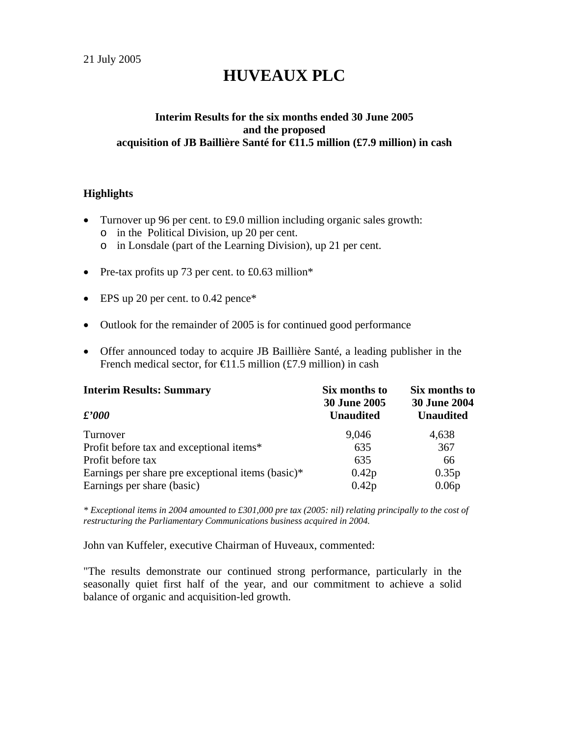# **HUVEAUX PLC**

#### **Interim Results for the six months ended 30 June 2005 and the proposed acquisition of JB Baillière Santé for €11.5 million (£7.9 million) in cash**

#### **Highlights**

- Turnover up 96 per cent. to £9.0 million including organic sales growth:
	- o in the Political Division, up 20 per cent.
	- o in Lonsdale (part of the Learning Division), up 21 per cent.
- Pre-tax profits up 73 per cent. to £0.63 million\*
- EPS up 20 per cent. to 0.42 pence\*
- Outlook for the remainder of 2005 is for continued good performance
- Offer announced today to acquire JB Baillière Santé, a leading publisher in the French medical sector, for  $\in$  1.5 million (£7.9 million) in cash

| <b>Interim Results: Summary</b>                   | Six months to<br><b>30 June 2005</b> | Six months to<br><b>30 June 2004</b> |
|---------------------------------------------------|--------------------------------------|--------------------------------------|
| $\pounds'000$                                     | <b>Unaudited</b>                     | <b>Unaudited</b>                     |
| Turnover                                          | 9,046                                | 4,638                                |
| Profit before tax and exceptional items*          | 635                                  | 367                                  |
| Profit before tax                                 | 635                                  | 66                                   |
| Earnings per share pre exceptional items (basic)* | 0.42p                                | 0.35p                                |
| Earnings per share (basic)                        | 0.42p                                | 0.06p                                |

*\* Exceptional items in 2004 amounted to £301,000 pre tax (2005: nil) relating principally to the cost of restructuring the Parliamentary Communications business acquired in 2004.* 

John van Kuffeler, executive Chairman of Huveaux, commented:

"The results demonstrate our continued strong performance, particularly in the seasonally quiet first half of the year, and our commitment to achieve a solid balance of organic and acquisition-led growth.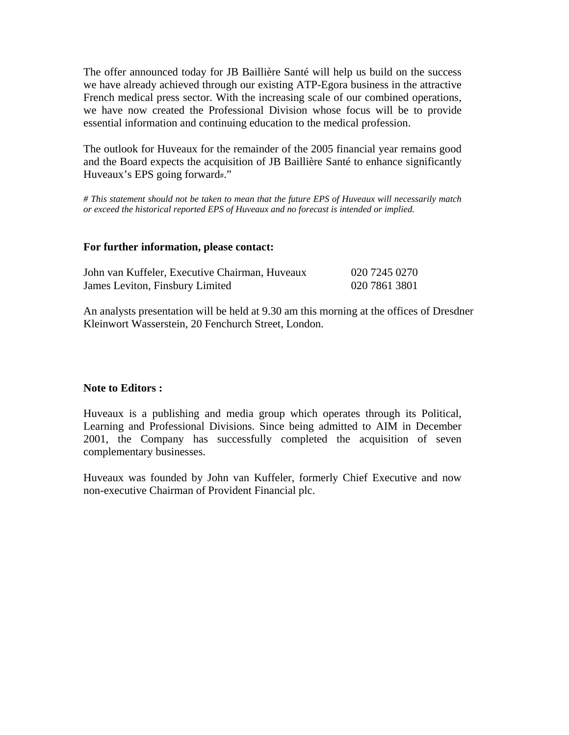The offer announced today for JB Baillière Santé will help us build on the success we have already achieved through our existing ATP-Egora business in the attractive French medical press sector. With the increasing scale of our combined operations, we have now created the Professional Division whose focus will be to provide essential information and continuing education to the medical profession.

The outlook for Huveaux for the remainder of the 2005 financial year remains good and the Board expects the acquisition of JB Baillière Santé to enhance significantly Huveaux's EPS going forward#."

*# This statement should not be taken to mean that the future EPS of Huveaux will necessarily match or exceed the historical reported EPS of Huveaux and no forecast is intended or implied.* 

#### **For further information, please contact:**

| John van Kuffeler, Executive Chairman, Huveaux | 020 7245 0270 |
|------------------------------------------------|---------------|
| James Leviton, Finsbury Limited                | 020 7861 3801 |

An analysts presentation will be held at 9.30 am this morning at the offices of Dresdner Kleinwort Wasserstein, 20 Fenchurch Street, London.

#### **Note to Editors :**

Huveaux is a publishing and media group which operates through its Political, Learning and Professional Divisions. Since being admitted to AIM in December 2001, the Company has successfully completed the acquisition of seven complementary businesses.

Huveaux was founded by John van Kuffeler, formerly Chief Executive and now non-executive Chairman of Provident Financial plc.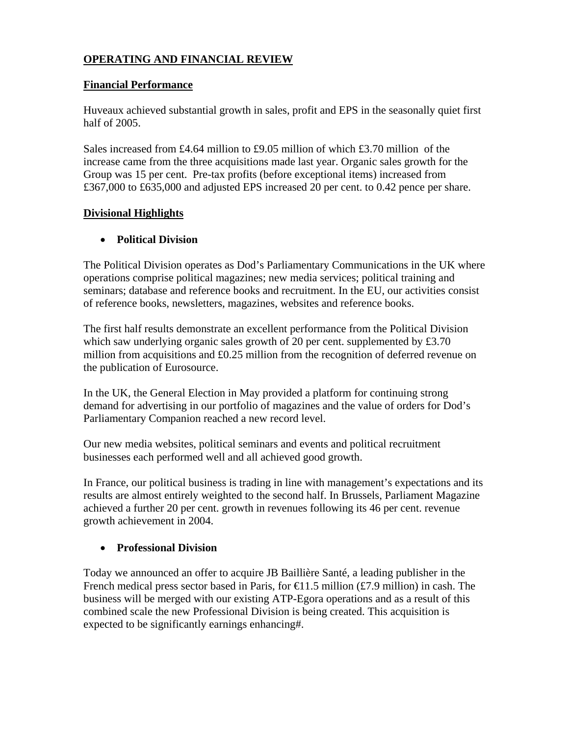### **OPERATING AND FINANCIAL REVIEW**

#### **Financial Performance**

Huveaux achieved substantial growth in sales, profit and EPS in the seasonally quiet first half of 2005.

Sales increased from £4.64 million to £9.05 million of which £3.70 million of the increase came from the three acquisitions made last year. Organic sales growth for the Group was 15 per cent. Pre-tax profits (before exceptional items) increased from £367,000 to £635,000 and adjusted EPS increased 20 per cent. to 0.42 pence per share.

#### **Divisional Highlights**

#### • **Political Division**

The Political Division operates as Dod's Parliamentary Communications in the UK where operations comprise political magazines; new media services; political training and seminars; database and reference books and recruitment. In the EU, our activities consist of reference books, newsletters, magazines, websites and reference books.

The first half results demonstrate an excellent performance from the Political Division which saw underlying organic sales growth of 20 per cent. supplemented by £3.70 million from acquisitions and £0.25 million from the recognition of deferred revenue on the publication of Eurosource.

In the UK, the General Election in May provided a platform for continuing strong demand for advertising in our portfolio of magazines and the value of orders for Dod's Parliamentary Companion reached a new record level.

Our new media websites, political seminars and events and political recruitment businesses each performed well and all achieved good growth.

In France, our political business is trading in line with management's expectations and its results are almost entirely weighted to the second half. In Brussels, Parliament Magazine achieved a further 20 per cent. growth in revenues following its 46 per cent. revenue growth achievement in 2004.

#### • **Professional Division**

Today we announced an offer to acquire JB Baillière Santé, a leading publisher in the French medical press sector based in Paris, for  $\in$ 1.5 million (£7.9 million) in cash. The business will be merged with our existing ATP-Egora operations and as a result of this combined scale the new Professional Division is being created. This acquisition is expected to be significantly earnings enhancing#.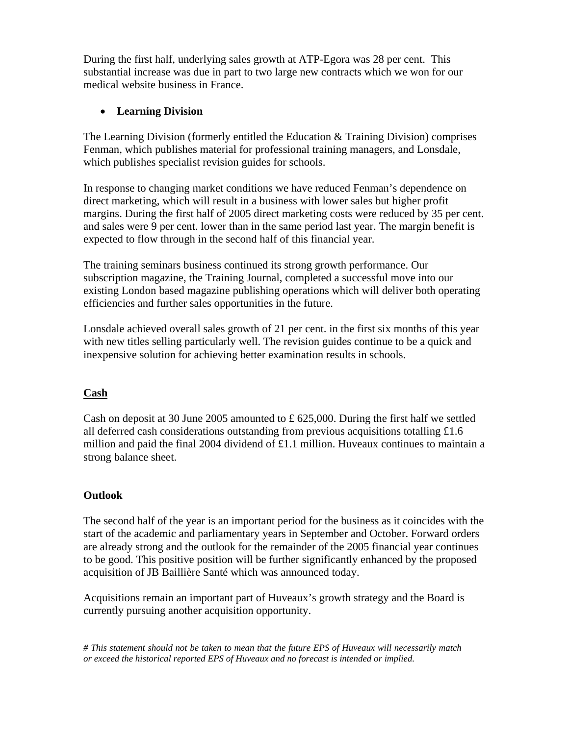During the first half, underlying sales growth at ATP-Egora was 28 per cent. This substantial increase was due in part to two large new contracts which we won for our medical website business in France.

### • **Learning Division**

The Learning Division (formerly entitled the Education & Training Division) comprises Fenman, which publishes material for professional training managers, and Lonsdale, which publishes specialist revision guides for schools.

In response to changing market conditions we have reduced Fenman's dependence on direct marketing, which will result in a business with lower sales but higher profit margins. During the first half of 2005 direct marketing costs were reduced by 35 per cent. and sales were 9 per cent. lower than in the same period last year. The margin benefit is expected to flow through in the second half of this financial year.

The training seminars business continued its strong growth performance. Our subscription magazine, the Training Journal, completed a successful move into our existing London based magazine publishing operations which will deliver both operating efficiencies and further sales opportunities in the future.

Lonsdale achieved overall sales growth of 21 per cent. in the first six months of this year with new titles selling particularly well. The revision guides continue to be a quick and inexpensive solution for achieving better examination results in schools.

## **Cash**

Cash on deposit at 30 June 2005 amounted to £ 625,000. During the first half we settled all deferred cash considerations outstanding from previous acquisitions totalling £1.6 million and paid the final 2004 dividend of £1.1 million. Huveaux continues to maintain a strong balance sheet.

#### **Outlook**

The second half of the year is an important period for the business as it coincides with the start of the academic and parliamentary years in September and October. Forward orders are already strong and the outlook for the remainder of the 2005 financial year continues to be good. This positive position will be further significantly enhanced by the proposed acquisition of JB Baillière Santé which was announced today.

Acquisitions remain an important part of Huveaux's growth strategy and the Board is currently pursuing another acquisition opportunity.

*# This statement should not be taken to mean that the future EPS of Huveaux will necessarily match or exceed the historical reported EPS of Huveaux and no forecast is intended or implied.*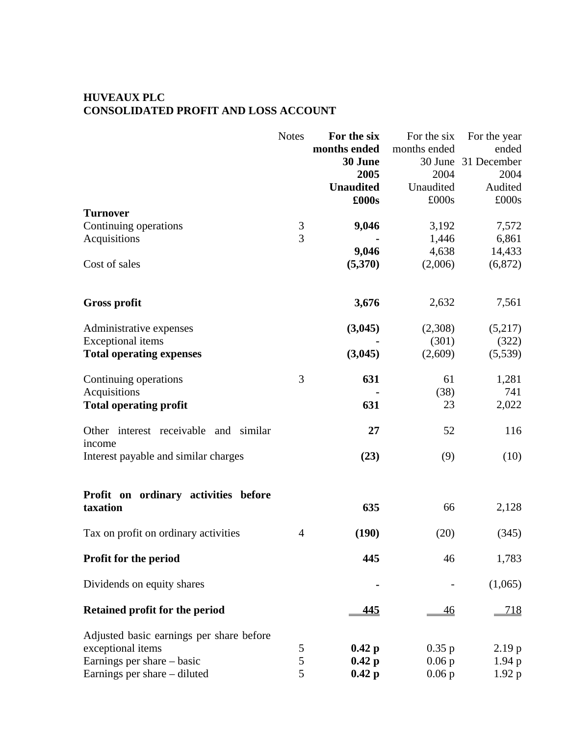#### **HUVEAUX PLC CONSOLIDATED PROFIT AND LOSS ACCOUNT**

|                                                    | <b>Notes</b>   | For the six      | For the six  | For the year        |
|----------------------------------------------------|----------------|------------------|--------------|---------------------|
|                                                    |                | months ended     | months ended | ended               |
|                                                    |                | 30 June          |              | 30 June 31 December |
|                                                    |                | 2005             | 2004         | 2004                |
|                                                    |                | <b>Unaudited</b> | Unaudited    | Audited             |
|                                                    |                | £000s            | £000s        | £000s               |
| <b>Turnover</b>                                    |                |                  |              |                     |
| Continuing operations                              | $\mathfrak{Z}$ | 9,046            | 3,192        | 7,572               |
| Acquisitions                                       | $\overline{3}$ |                  | 1,446        | 6,861               |
|                                                    |                | 9,046            | 4,638        | 14,433              |
| Cost of sales                                      |                | (5,370)          | (2,006)      | (6,872)             |
| <b>Gross profit</b>                                |                | 3,676            | 2,632        | 7,561               |
| Administrative expenses                            |                | (3,045)          | (2,308)      | (5,217)             |
| <b>Exceptional</b> items                           |                |                  | (301)        | (322)               |
| <b>Total operating expenses</b>                    |                | (3,045)          | (2,609)      | (5,539)             |
| Continuing operations                              | 3              | 631              | 61           | 1,281               |
| Acquisitions                                       |                |                  | (38)         | 741                 |
| <b>Total operating profit</b>                      |                | 631              | 23           | 2,022               |
| Other interest receivable<br>and similar<br>income |                | 27               | 52           | 116                 |
| Interest payable and similar charges               |                | (23)             | (9)          | (10)                |
| Profit on ordinary activities before               |                |                  |              |                     |
| taxation                                           |                | 635              | 66           | 2,128               |
| Tax on profit on ordinary activities               | 4              | (190)            | (20)         | (345)               |
| Profit for the period                              |                | 445              | 46           | 1,783               |
| Dividends on equity shares                         |                |                  |              | (1,065)             |
| Retained profit for the period                     |                | <u>445</u>       | <u>46</u>    | <u>718</u>          |
| Adjusted basic earnings per share before           |                |                  |              |                     |
| exceptional items                                  | 5              | $0.42\text{ p}$  | 0.35 p       | 2.19 p              |
| Earnings per share – basic                         | 5              | $0.42\text{ p}$  | $0.06$ p     | 1.94 p              |
| Earnings per share – diluted                       | 5              | $0.42\text{ p}$  | $0.06$ p     | 1.92 p              |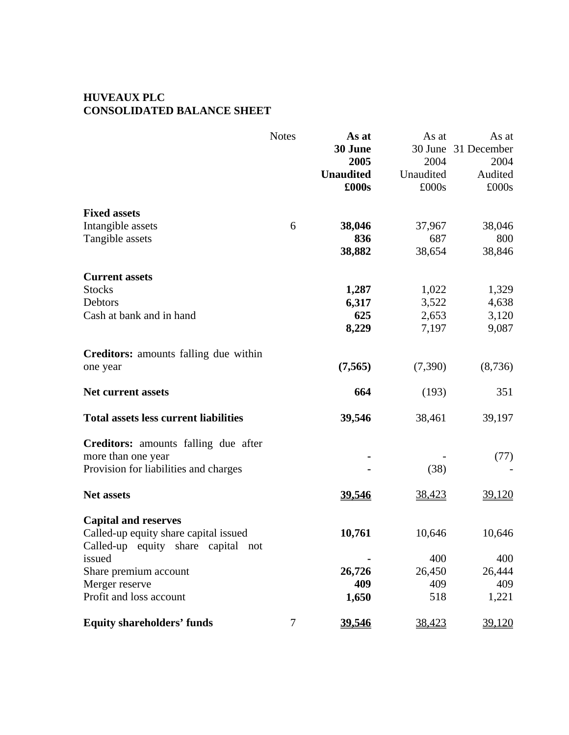### **HUVEAUX PLC CONSOLIDATED BALANCE SHEET**

|                                              | <b>Notes</b> | As at            | As at     | As at         |
|----------------------------------------------|--------------|------------------|-----------|---------------|
|                                              |              | 30 June          | 30 June   | 31 December   |
|                                              |              | 2005             | 2004      | 2004          |
|                                              |              | <b>Unaudited</b> | Unaudited | Audited       |
|                                              |              | £000s            | £000s     | £000s         |
| <b>Fixed assets</b>                          |              |                  |           |               |
| Intangible assets                            | 6            | 38,046           | 37,967    | 38,046        |
| Tangible assets                              |              | 836              | 687       | 800           |
|                                              |              | 38,882           | 38,654    | 38,846        |
| <b>Current assets</b>                        |              |                  |           |               |
| <b>Stocks</b>                                |              | 1,287            | 1,022     | 1,329         |
| Debtors                                      |              | 6,317            | 3,522     | 4,638         |
| Cash at bank and in hand                     |              | 625              | 2,653     | 3,120         |
|                                              |              | 8,229            | 7,197     | 9,087         |
| <b>Creditors:</b> amounts falling due within |              |                  |           |               |
| one year                                     |              | (7, 565)         | (7,390)   | (8,736)       |
| <b>Net current assets</b>                    |              | 664              | (193)     | 351           |
| <b>Total assets less current liabilities</b> |              | 39,546           | 38,461    | 39,197        |
| <b>Creditors:</b> amounts falling due after  |              |                  |           |               |
| more than one year                           |              |                  |           | (77)          |
| Provision for liabilities and charges        |              |                  | (38)      |               |
| <b>Net assets</b>                            |              | 39,546           | 38,423    | <u>39,120</u> |
| <b>Capital and reserves</b>                  |              |                  |           |               |
| Called-up equity share capital issued        |              | 10,761           | 10,646    | 10,646        |
| Called-up equity share capital not<br>issued |              |                  | 400       | 400           |
| Share premium account                        |              | 26,726           | 26,450    | 26,444        |
| Merger reserve                               |              | 409              | 409       | 409           |
| Profit and loss account                      |              | 1,650            | 518       | 1,221         |
| <b>Equity shareholders' funds</b>            | 7            | 39,546           | 38,423    | 39,120        |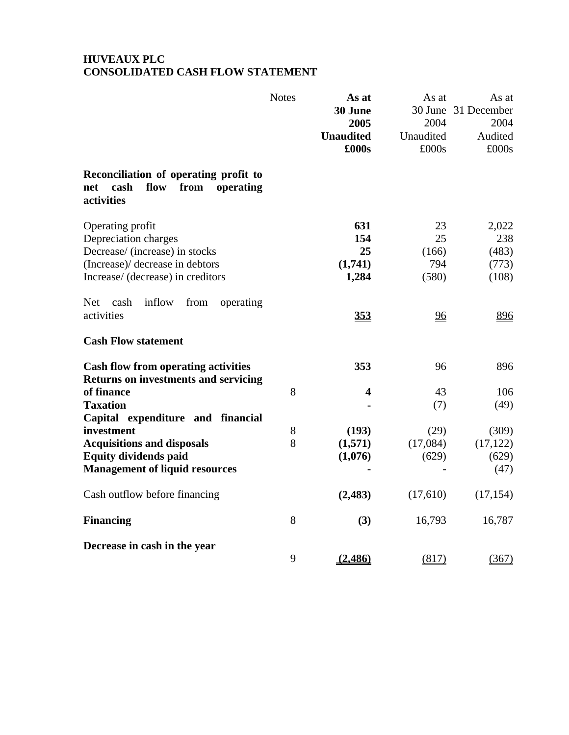## **HUVEAUX PLC CONSOLIDATED CASH FLOW STATEMENT**

|                                                                                                 | <b>Notes</b> | As at<br>30 June<br>2005<br><b>Unaudited</b><br>£000s | As at<br>30 June<br>2004<br>Unaudited<br>£000s | As at<br>31 December<br>2004<br>Audited<br>£000s |
|-------------------------------------------------------------------------------------------------|--------------|-------------------------------------------------------|------------------------------------------------|--------------------------------------------------|
| Reconciliation of operating profit to<br>cash<br>from<br>flow<br>operating<br>net<br>activities |              |                                                       |                                                |                                                  |
| Operating profit                                                                                |              | 631                                                   | 23                                             | 2,022                                            |
| Depreciation charges                                                                            |              | 154                                                   | 25                                             | 238                                              |
| Decrease/ (increase) in stocks                                                                  |              | 25                                                    | (166)                                          | (483)                                            |
| (Increase)/ decrease in debtors                                                                 |              | (1,741)                                               | 794                                            | (773)                                            |
| Increase/ (decrease) in creditors                                                               |              | 1,284                                                 | (580)                                          | (108)                                            |
| inflow<br><b>Net</b><br>cash<br>from<br>operating<br>activities                                 |              | 353                                                   | <u>96</u>                                      | 896                                              |
| <b>Cash Flow statement</b>                                                                      |              |                                                       |                                                |                                                  |
| <b>Cash flow from operating activities</b><br><b>Returns on investments and servicing</b>       |              | 353                                                   | 96                                             | 896                                              |
| of finance                                                                                      | 8            | 4                                                     | 43                                             | 106                                              |
| <b>Taxation</b>                                                                                 |              |                                                       | (7)                                            | (49)                                             |
| Capital expenditure and financial                                                               |              |                                                       |                                                |                                                  |
| investment                                                                                      | 8            | (193)                                                 | (29)                                           | (309)                                            |
| <b>Acquisitions and disposals</b>                                                               | 8            | (1,571)                                               | (17,084)                                       | (17, 122)                                        |
| <b>Equity dividends paid</b>                                                                    |              | (1,076)                                               | (629)                                          | (629)                                            |
| <b>Management of liquid resources</b>                                                           |              |                                                       |                                                | (47)                                             |
| Cash outflow before financing                                                                   |              | (2,483)                                               | (17,610)                                       | (17, 154)                                        |
| <b>Financing</b>                                                                                | 8            | (3)                                                   | 16,793                                         | 16,787                                           |
| Decrease in cash in the year                                                                    |              |                                                       |                                                |                                                  |
|                                                                                                 | 9            | (2, 486)                                              | (817)                                          | (367)                                            |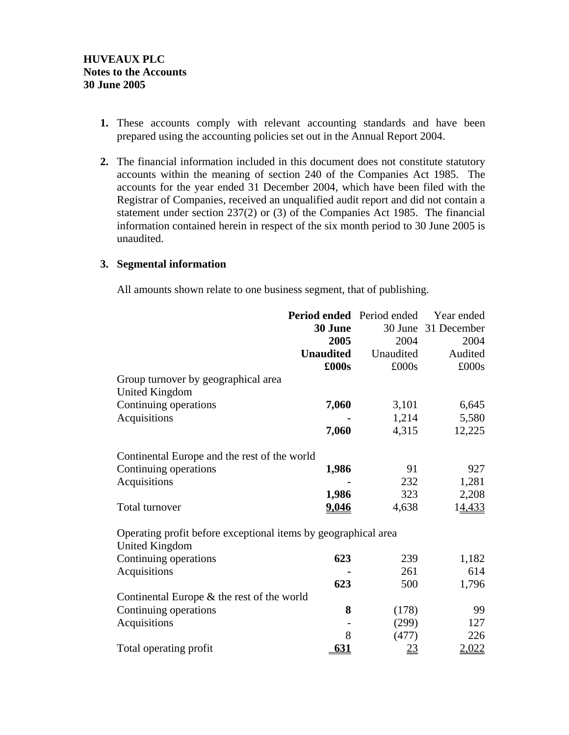- **1.** These accounts comply with relevant accounting standards and have been prepared using the accounting policies set out in the Annual Report 2004.
- **2.** The financial information included in this document does not constitute statutory accounts within the meaning of section 240 of the Companies Act 1985. The accounts for the year ended 31 December 2004, which have been filed with the Registrar of Companies, received an unqualified audit report and did not contain a statement under section 237(2) or (3) of the Companies Act 1985. The financial information contained herein in respect of the six month period to 30 June 2005 is unaudited.

#### **3. Segmental information**

All amounts shown relate to one business segment, that of publishing.

|                                                                | Period ended Period ended |           | Year ended          |
|----------------------------------------------------------------|---------------------------|-----------|---------------------|
|                                                                | 30 June                   |           | 30 June 31 December |
|                                                                | 2005                      | 2004      | 2004                |
|                                                                | <b>Unaudited</b>          | Unaudited | Audited             |
|                                                                | £000s                     | £000s     | £000s               |
| Group turnover by geographical area                            |                           |           |                     |
| <b>United Kingdom</b>                                          |                           |           |                     |
| Continuing operations                                          | 7,060                     | 3,101     | 6,645               |
| Acquisitions                                                   |                           | 1,214     | 5,580               |
|                                                                | 7,060                     | 4,315     | 12,225              |
| Continental Europe and the rest of the world                   |                           |           |                     |
| Continuing operations                                          | 1,986                     | 91        | 927                 |
| Acquisitions                                                   |                           | 232       | 1,281               |
|                                                                | 1,986                     | 323       | 2,208               |
| Total turnover                                                 | 9,046                     | 4,638     | 14,433              |
| Operating profit before exceptional items by geographical area |                           |           |                     |
| <b>United Kingdom</b>                                          |                           |           |                     |
| Continuing operations                                          | 623                       | 239       | 1,182               |
| Acquisitions                                                   |                           | 261       | 614                 |
|                                                                | 623                       | 500       | 1,796               |
| Continental Europe & the rest of the world                     |                           |           |                     |
| Continuing operations                                          | 8                         | (178)     | 99                  |
| Acquisitions                                                   |                           | (299)     | 127                 |
|                                                                | 8                         | (477)     | 226                 |
| Total operating profit                                         | <u>631</u>                | <u>23</u> | 2,022               |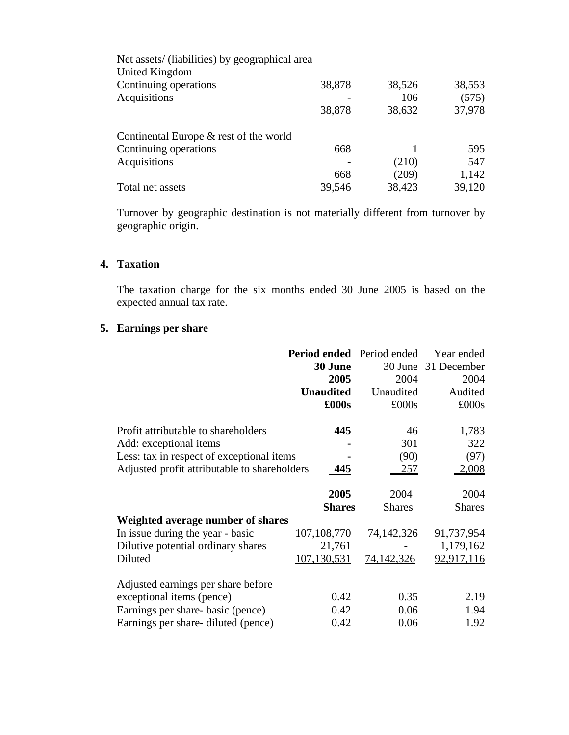| Net assets/ (liabilities) by geographical area |        |               |               |
|------------------------------------------------|--------|---------------|---------------|
| United Kingdom                                 |        |               |               |
| Continuing operations                          | 38,878 | 38,526        | 38,553        |
| Acquisitions                                   |        | 106           | (575)         |
|                                                | 38,878 | 38,632        | 37,978        |
| Continental Europe $\&$ rest of the world      |        |               |               |
| Continuing operations                          | 668    |               | 595           |
| Acquisitions                                   |        | (210)         | 547           |
|                                                | 668    | (209)         | 1,142         |
| Total net assets                               | 39.546 | <u>38,423</u> | <u>39,120</u> |
|                                                |        |               |               |

Turnover by geographic destination is not materially different from turnover by geographic origin.

#### **4. Taxation**

The taxation charge for the six months ended 30 June 2005 is based on the expected annual tax rate.

### **5. Earnings per share**

|                                              | <b>Period ended</b> Period ended |                   | Year ended          |
|----------------------------------------------|----------------------------------|-------------------|---------------------|
|                                              | 30 June                          |                   | 30 June 31 December |
|                                              | 2005                             | 2004              | 2004                |
|                                              | <b>Unaudited</b>                 | Unaudited         | Audited             |
|                                              | £000s                            | £000s             | £000s               |
| Profit attributable to shareholders          | 445                              | 46                | 1,783               |
|                                              |                                  |                   |                     |
| Add: exceptional items                       |                                  | 301               | 322                 |
| Less: tax in respect of exceptional items    |                                  | (90)              | (97)                |
| Adjusted profit attributable to shareholders | <u>445</u>                       | 257               | 2,008               |
|                                              |                                  |                   |                     |
|                                              | 2005                             | 2004              | 2004                |
|                                              | <b>Shares</b>                    | <b>Shares</b>     | <b>Shares</b>       |
| Weighted average number of shares            |                                  |                   |                     |
| In issue during the year - basic             | 107, 108, 770                    | 74,142,326        | 91,737,954          |
| Dilutive potential ordinary shares           | 21,761                           |                   | 1,179,162           |
| Diluted                                      | 107.130,531                      | <u>74,142,326</u> | <u>92,917,116</u>   |
|                                              |                                  |                   |                     |
| Adjusted earnings per share before           |                                  |                   |                     |
| exceptional items (pence)                    | 0.42                             | 0.35              | 2.19                |
| Earnings per share-basic (pence)             | 0.42                             | 0.06              | 1.94                |
| Earnings per share-diluted (pence)           | 0.42                             | 0.06              | 1.92                |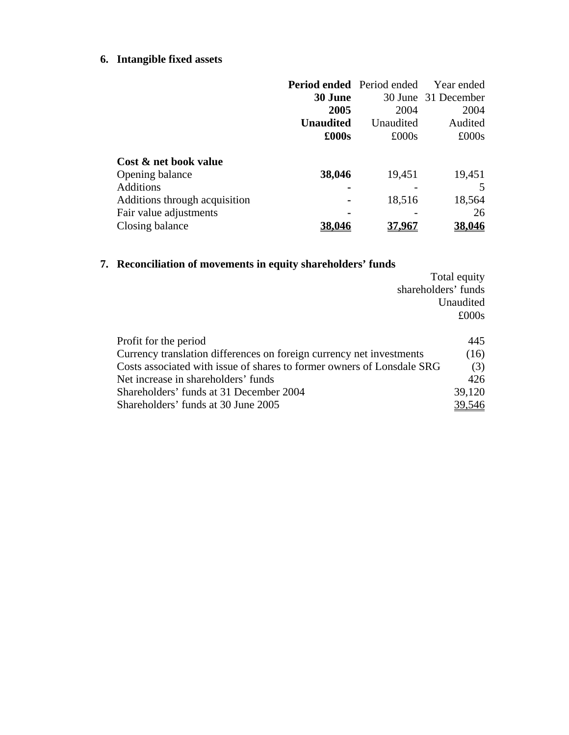## **6. Intangible fixed assets**

|                               | <b>Period ended</b> Period ended |               | Year ended          |
|-------------------------------|----------------------------------|---------------|---------------------|
|                               | 30 June                          |               | 30 June 31 December |
|                               | 2005                             | 2004          | 2004                |
|                               | <b>Unaudited</b>                 | Unaudited     | Audited             |
|                               | $\pounds000s$                    | $\pounds000s$ | £000s               |
| Cost & net book value         |                                  |               |                     |
| Opening balance               | 38,046                           | 19,451        | 19,451              |
| Additions                     |                                  |               |                     |
| Additions through acquisition |                                  | 18,516        | 18,564              |
| Fair value adjustments        |                                  |               | 26                  |
| Closing balance               |                                  |               | 38,046              |

## **7. Reconciliation of movements in equity shareholders' funds**

|                                                                        | Total equity  |
|------------------------------------------------------------------------|---------------|
| shareholders' funds                                                    |               |
|                                                                        | Unaudited     |
|                                                                        | $\pounds000s$ |
|                                                                        |               |
| Profit for the period                                                  | 445           |
| Currency translation differences on foreign currency net investments   | (16)          |
| Costs associated with issue of shares to former owners of Lonsdale SRG | (3)           |
| Net increase in shareholders' funds                                    | 426           |
| Shareholders' funds at 31 December 2004                                | 39,120        |
| Shareholders' funds at 30 June 2005                                    | 39,546        |